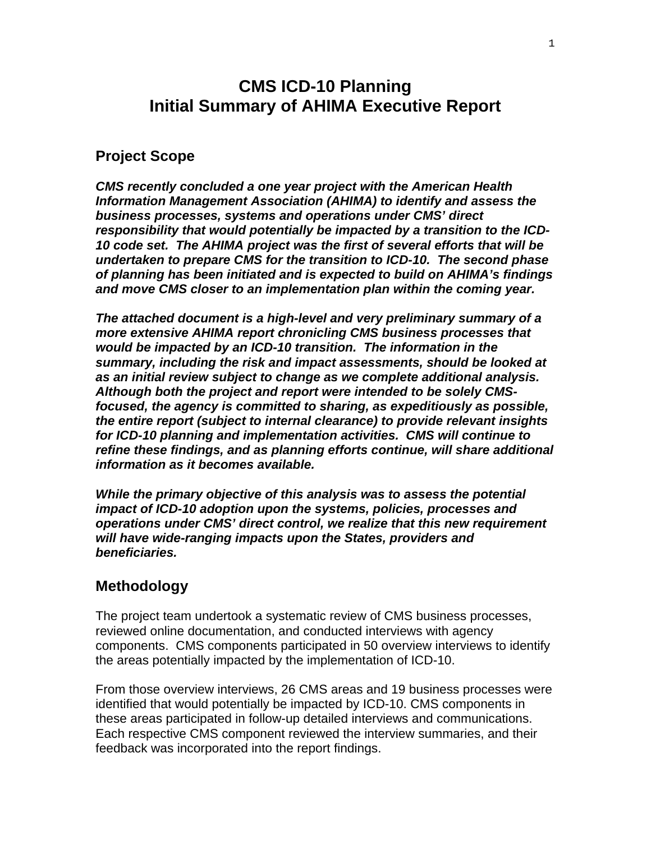# **CMS ICD-10 Planning Initial Summary of AHIMA Executive Report**

### **Project Scope**

*CMS recently concluded a one year project with the American Health Information Management Association (AHIMA) to identify and assess the business processes, systems and operations under CMS' direct responsibility that would potentially be impacted by a transition to the ICD-10 code set. The AHIMA project was the first of several efforts that will be undertaken to prepare CMS for the transition to ICD-10. The second phase of planning has been initiated and is expected to build on AHIMA's findings and move CMS closer to an implementation plan within the coming year.* 

*The attached document is a high-level and very preliminary summary of a more extensive AHIMA report chronicling CMS business processes that would be impacted by an ICD-10 transition. The information in the summary, including the risk and impact assessments, should be looked at as an initial review subject to change as we complete additional analysis. Although both the project and report were intended to be solely CMSfocused, the agency is committed to sharing, as expeditiously as possible, the entire report (subject to internal clearance) to provide relevant insights for ICD-10 planning and implementation activities. CMS will continue to refine these findings, and as planning efforts continue, will share additional information as it becomes available.* 

*While the primary objective of this analysis was to assess the potential impact of ICD-10 adoption upon the systems, policies, processes and operations under CMS' direct control, we realize that this new requirement will have wide-ranging impacts upon the States, providers and beneficiaries.* 

#### **Methodology**

The project team undertook a systematic review of CMS business processes, reviewed online documentation, and conducted interviews with agency components. CMS components participated in 50 overview interviews to identify the areas potentially impacted by the implementation of ICD-10.

From those overview interviews, 26 CMS areas and 19 business processes were identified that would potentially be impacted by ICD-10. CMS components in these areas participated in follow-up detailed interviews and communications. Each respective CMS component reviewed the interview summaries, and their feedback was incorporated into the report findings.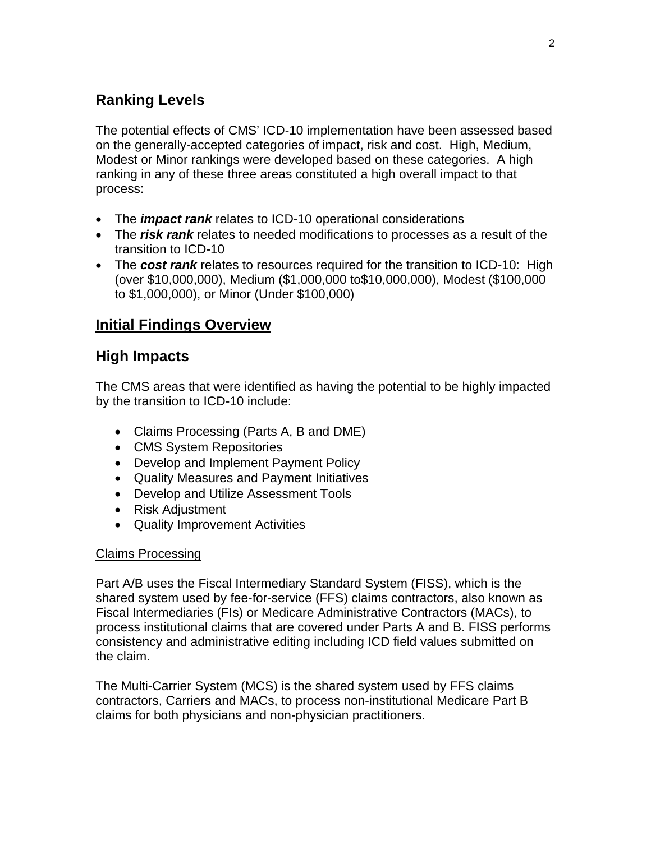# **Ranking Levels**

The potential effects of CMS' ICD-10 implementation have been assessed based on the generally-accepted categories of impact, risk and cost. High, Medium, Modest or Minor rankings were developed based on these categories. A high ranking in any of these three areas constituted a high overall impact to that process:

- The *impact rank* relates to ICD-10 operational considerations
- The *risk rank* relates to needed modifications to processes as a result of the transition to ICD-10
- The **cost rank** relates to resources required for the transition to ICD-10: High (over \$10,000,000), Medium (\$1,000,000 to\$10,000,000), Modest (\$100,000 to \$1,000,000), or Minor (Under \$100,000)

# **Initial Findings Overview**

# **High Impacts**

The CMS areas that were identified as having the potential to be highly impacted by the transition to ICD-10 include:

- Claims Processing (Parts A, B and DME)
- CMS System Repositories
- Develop and Implement Payment Policy
- Quality Measures and Payment Initiatives
- Develop and Utilize Assessment Tools
- Risk Adjustment
- Quality Improvement Activities

#### Claims Processing

Part A/B uses the Fiscal Intermediary Standard System (FISS), which is the shared system used by fee-for-service (FFS) claims contractors, also known as Fiscal Intermediaries (FIs) or Medicare Administrative Contractors (MACs), to process institutional claims that are covered under Parts A and B. FISS performs consistency and administrative editing including ICD field values submitted on the claim.

The Multi-Carrier System (MCS) is the shared system used by FFS claims contractors, Carriers and MACs, to process non-institutional Medicare Part B claims for both physicians and non-physician practitioners.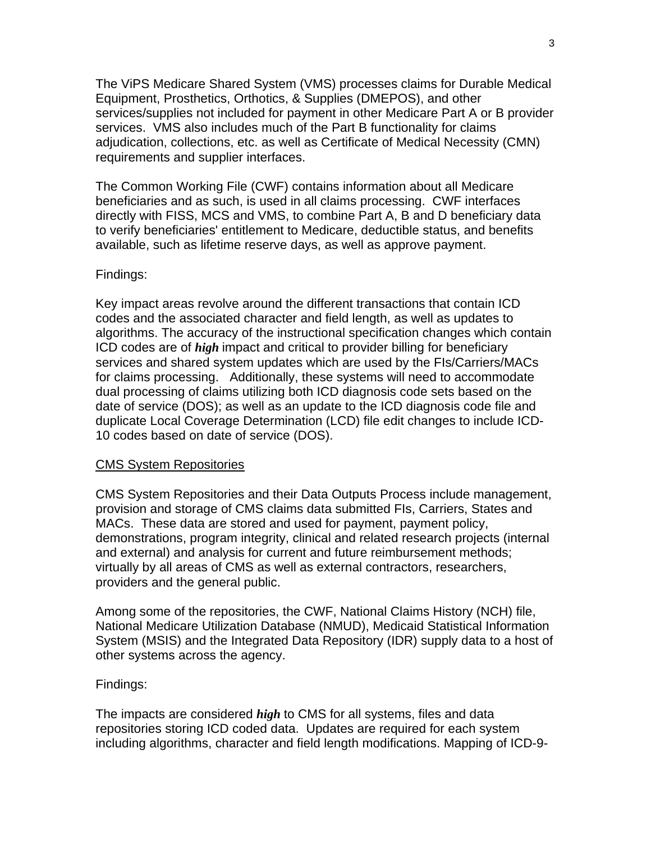The ViPS Medicare Shared System (VMS) processes claims for Durable Medical Equipment, Prosthetics, Orthotics, & Supplies (DMEPOS), and other services/supplies not included for payment in other Medicare Part A or B provider services. VMS also includes much of the Part B functionality for claims adjudication, collections, etc. as well as Certificate of Medical Necessity (CMN) requirements and supplier interfaces.

The Common Working File (CWF) contains information about all Medicare beneficiaries and as such, is used in all claims processing. CWF interfaces directly with FISS, MCS and VMS, to combine Part A, B and D beneficiary data to verify beneficiaries' entitlement to Medicare, deductible status, and benefits available, such as lifetime reserve days, as well as approve payment.

#### Findings:

Key impact areas revolve around the different transactions that contain ICD codes and the associated character and field length, as well as updates to algorithms. The accuracy of the instructional specification changes which contain ICD codes are of *high* impact and critical to provider billing for beneficiary services and shared system updates which are used by the FIs/Carriers/MACs for claims processing. Additionally, these systems will need to accommodate dual processing of claims utilizing both ICD diagnosis code sets based on the date of service (DOS); as well as an update to the ICD diagnosis code file and duplicate Local Coverage Determination (LCD) file edit changes to include ICD-10 codes based on date of service (DOS).

#### CMS System Repositories

CMS System Repositories and their Data Outputs Process include management, provision and storage of CMS claims data submitted FIs, Carriers, States and MACs. These data are stored and used for payment, payment policy, demonstrations, program integrity, clinical and related research projects (internal and external) and analysis for current and future reimbursement methods; virtually by all areas of CMS as well as external contractors, researchers, providers and the general public.

Among some of the repositories, the CWF, National Claims History (NCH) file, National Medicare Utilization Database (NMUD), Medicaid Statistical Information System (MSIS) and the Integrated Data Repository (IDR) supply data to a host of other systems across the agency.

#### Findings:

The impacts are considered *high* to CMS for all systems, files and data repositories storing ICD coded data. Updates are required for each system including algorithms, character and field length modifications. Mapping of ICD-9-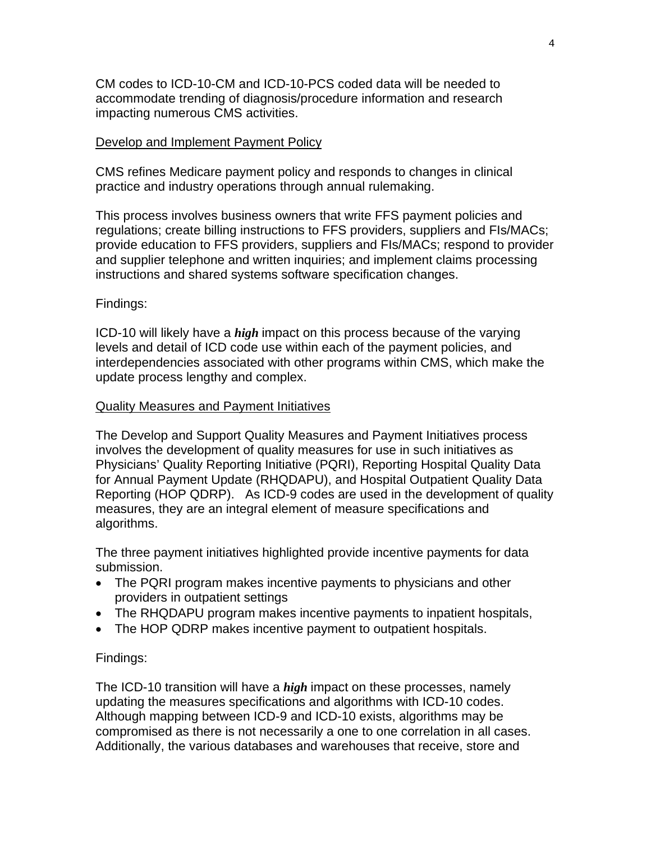CM codes to ICD-10-CM and ICD-10-PCS coded data will be needed to accommodate trending of diagnosis/procedure information and research impacting numerous CMS activities.

#### Develop and Implement Payment Policy

CMS refines Medicare payment policy and responds to changes in clinical practice and industry operations through annual rulemaking.

This process involves business owners that write FFS payment policies and regulations; create billing instructions to FFS providers, suppliers and FIs/MACs; provide education to FFS providers, suppliers and FIs/MACs; respond to provider and supplier telephone and written inquiries; and implement claims processing instructions and shared systems software specification changes.

#### Findings:

ICD-10 will likely have a *high* impact on this process because of the varying levels and detail of ICD code use within each of the payment policies, and interdependencies associated with other programs within CMS, which make the update process lengthy and complex.

#### Quality Measures and Payment Initiatives

The Develop and Support Quality Measures and Payment Initiatives process involves the development of quality measures for use in such initiatives as Physicians' Quality Reporting Initiative (PQRI), Reporting Hospital Quality Data for Annual Payment Update (RHQDAPU), and Hospital Outpatient Quality Data Reporting (HOP QDRP). As ICD-9 codes are used in the development of quality measures, they are an integral element of measure specifications and algorithms.

The three payment initiatives highlighted provide incentive payments for data submission.

- The PQRI program makes incentive payments to physicians and other providers in outpatient settings
- The RHQDAPU program makes incentive payments to inpatient hospitals,
- The HOP QDRP makes incentive payment to outpatient hospitals.

#### Findings:

The ICD-10 transition will have a *high* impact on these processes, namely updating the measures specifications and algorithms with ICD-10 codes. Although mapping between ICD-9 and ICD-10 exists, algorithms may be compromised as there is not necessarily a one to one correlation in all cases. Additionally, the various databases and warehouses that receive, store and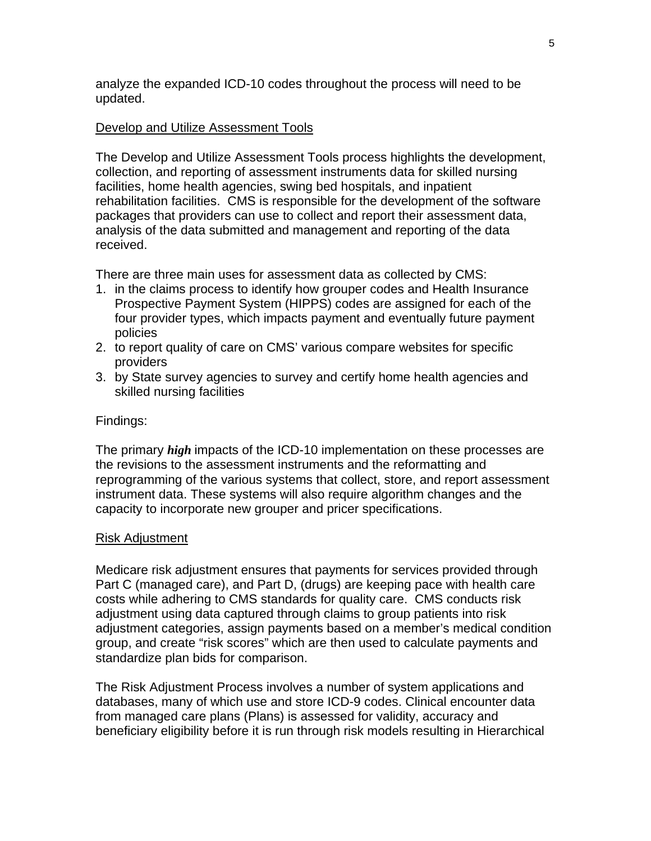analyze the expanded ICD-10 codes throughout the process will need to be updated.

#### Develop and Utilize Assessment Tools

The Develop and Utilize Assessment Tools process highlights the development, collection, and reporting of assessment instruments data for skilled nursing facilities, home health agencies, swing bed hospitals, and inpatient rehabilitation facilities. CMS is responsible for the development of the software packages that providers can use to collect and report their assessment data, analysis of the data submitted and management and reporting of the data received.

There are three main uses for assessment data as collected by CMS:

- 1. in the claims process to identify how grouper codes and Health Insurance Prospective Payment System (HIPPS) codes are assigned for each of the four provider types, which impacts payment and eventually future payment policies
- 2. to report quality of care on CMS' various compare websites for specific providers
- 3. by State survey agencies to survey and certify home health agencies and skilled nursing facilities

#### Findings:

The primary *high* impacts of the ICD-10 implementation on these processes are the revisions to the assessment instruments and the reformatting and reprogramming of the various systems that collect, store, and report assessment instrument data. These systems will also require algorithm changes and the capacity to incorporate new grouper and pricer specifications.

#### Risk Adjustment

Medicare risk adjustment ensures that payments for services provided through Part C (managed care), and Part D, (drugs) are keeping pace with health care costs while adhering to CMS standards for quality care. CMS conducts risk adjustment using data captured through claims to group patients into risk adjustment categories, assign payments based on a member's medical condition group, and create "risk scores" which are then used to calculate payments and standardize plan bids for comparison.

The Risk Adjustment Process involves a number of system applications and databases, many of which use and store ICD-9 codes. Clinical encounter data from managed care plans (Plans) is assessed for validity, accuracy and beneficiary eligibility before it is run through risk models resulting in Hierarchical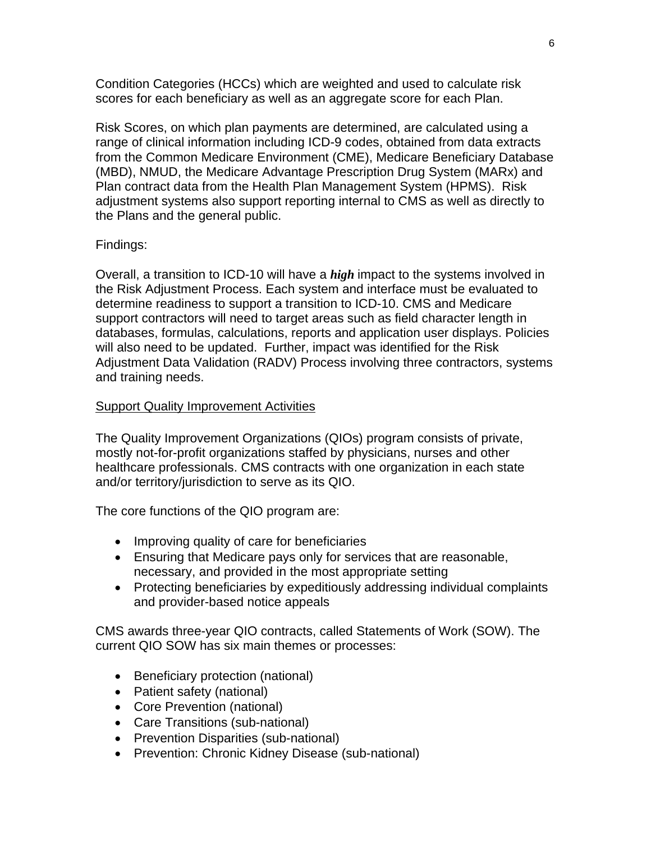Condition Categories (HCCs) which are weighted and used to calculate risk scores for each beneficiary as well as an aggregate score for each Plan.

Risk Scores, on which plan payments are determined, are calculated using a range of clinical information including ICD-9 codes, obtained from data extracts from the Common Medicare Environment (CME), Medicare Beneficiary Database (MBD), NMUD, the Medicare Advantage Prescription Drug System (MARx) and Plan contract data from the Health Plan Management System (HPMS). Risk adjustment systems also support reporting internal to CMS as well as directly to the Plans and the general public.

#### Findings:

Overall, a transition to ICD-10 will have a *high* impact to the systems involved in the Risk Adjustment Process. Each system and interface must be evaluated to determine readiness to support a transition to ICD-10. CMS and Medicare support contractors will need to target areas such as field character length in databases, formulas, calculations, reports and application user displays. Policies will also need to be updated. Further, impact was identified for the Risk Adjustment Data Validation (RADV) Process involving three contractors, systems and training needs.

#### **Support Quality Improvement Activities**

The Quality Improvement Organizations (QIOs) program consists of private, mostly not-for-profit organizations staffed by physicians, nurses and other healthcare professionals. CMS contracts with one organization in each state and/or territory/jurisdiction to serve as its QIO.

The core functions of the QIO program are:

- Improving quality of care for beneficiaries
- Ensuring that Medicare pays only for services that are reasonable, necessary, and provided in the most appropriate setting
- Protecting beneficiaries by expeditiously addressing individual complaints and provider-based notice appeals

CMS awards three-year QIO contracts, called Statements of Work (SOW). The current QIO SOW has six main themes or processes:

- Beneficiary protection (national)
- Patient safety (national)
- Core Prevention (national)
- Care Transitions (sub-national)
- Prevention Disparities (sub-national)
- Prevention: Chronic Kidney Disease (sub-national)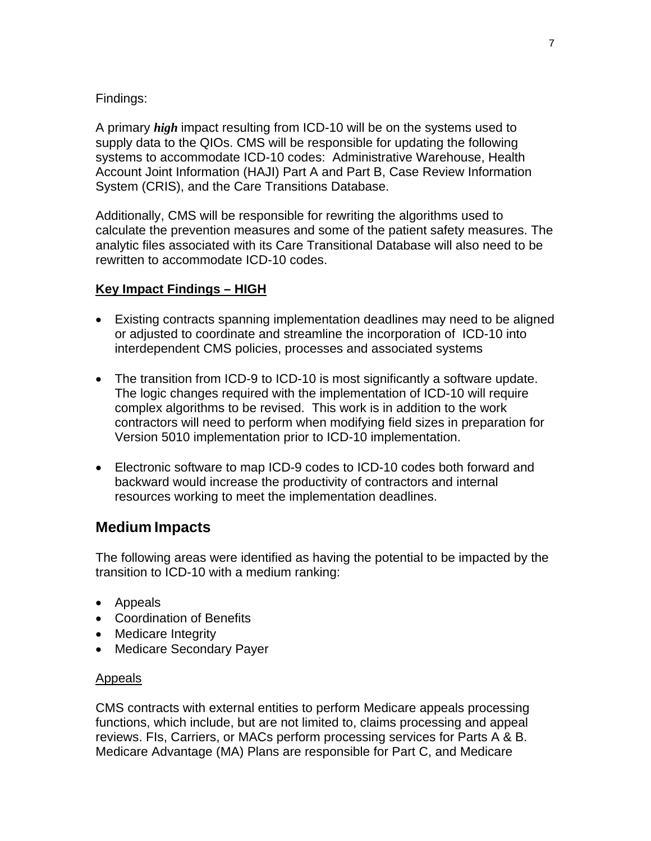#### Findings:

A primary *high* impact resulting from ICD-10 will be on the systems used to supply data to the QIOs. CMS will be responsible for updating the following systems to accommodate ICD-10 codes: Administrative Warehouse, Health Account Joint Information (HAJI) Part A and Part B, Case Review Information System (CRIS), and the Care Transitions Database.

Additionally, CMS will be responsible for rewriting the algorithms used to calculate the prevention measures and some of the patient safety measures. The analytic files associated with its Care Transitional Database will also need to be rewritten to accommodate ICD-10 codes.

### **Key Impact Findings – HIGH**

- Existing contracts spanning implementation deadlines may need to be aligned or adjusted to coordinate and streamline the incorporation of ICD-10 into interdependent CMS policies, processes and associated systems
- The transition from ICD-9 to ICD-10 is most significantly a software update. The logic changes required with the implementation of ICD-10 will require complex algorithms to be revised. This work is in addition to the work contractors will need to perform when modifying field sizes in preparation for Version 5010 implementation prior to ICD-10 implementation.
- Electronic software to map ICD-9 codes to ICD-10 codes both forward and backward would increase the productivity of contractors and internal resources working to meet the implementation deadlines.

# **Medium Impacts**

The following areas were identified as having the potential to be impacted by the transition to ICD-10 with a medium ranking:

- Appeals
- Coordination of Benefits
- Medicare Integrity
- Medicare Secondary Payer

#### Appeals

CMS contracts with external entities to perform Medicare appeals processing functions, which include, but are not limited to, claims processing and appeal reviews. FIs, Carriers, or MACs perform processing services for Parts A & B. Medicare Advantage (MA) Plans are responsible for Part C, and Medicare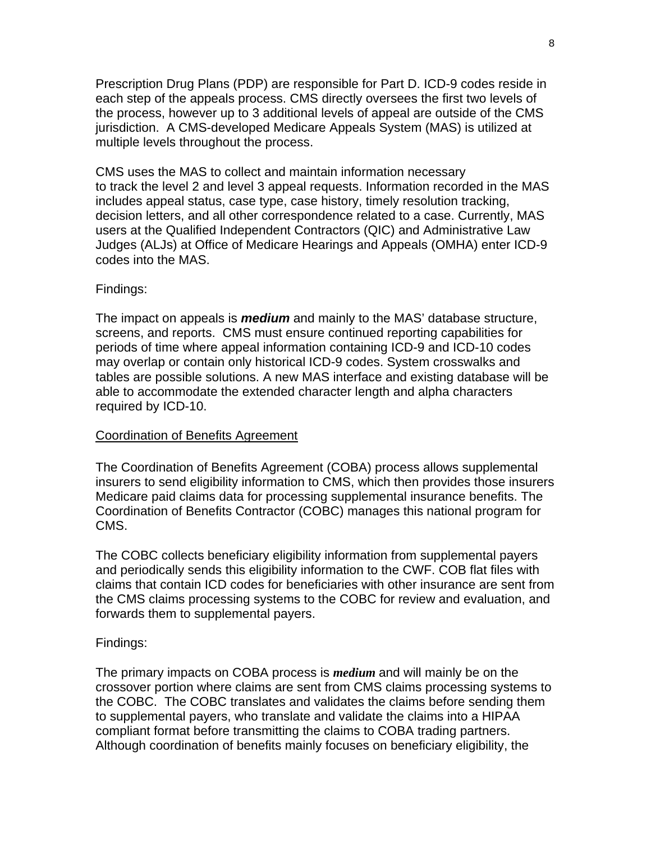Prescription Drug Plans (PDP) are responsible for Part D. ICD-9 codes reside in each step of the appeals process. CMS directly oversees the first two levels of the process, however up to 3 additional levels of appeal are outside of the CMS jurisdiction. A CMS-developed Medicare Appeals System (MAS) is utilized at multiple levels throughout the process.

CMS uses the MAS to collect and maintain information necessary to track the level 2 and level 3 appeal requests. Information recorded in the MAS includes appeal status, case type, case history, timely resolution tracking, decision letters, and all other correspondence related to a case. Currently, MAS users at the Qualified Independent Contractors (QIC) and Administrative Law Judges (ALJs) at Office of Medicare Hearings and Appeals (OMHA) enter ICD-9 codes into the MAS.

#### Findings:

The impact on appeals is *medium* and mainly to the MAS' database structure, screens, and reports. CMS must ensure continued reporting capabilities for periods of time where appeal information containing ICD-9 and ICD-10 codes may overlap or contain only historical ICD-9 codes. System crosswalks and tables are possible solutions. A new MAS interface and existing database will be able to accommodate the extended character length and alpha characters required by ICD-10.

#### Coordination of Benefits Agreement

The Coordination of Benefits Agreement (COBA) process allows supplemental insurers to send eligibility information to CMS, which then provides those insurers Medicare paid claims data for processing supplemental insurance benefits. The Coordination of Benefits Contractor (COBC) manages this national program for CMS.

The COBC collects beneficiary eligibility information from supplemental payers and periodically sends this eligibility information to the CWF. COB flat files with claims that contain ICD codes for beneficiaries with other insurance are sent from the CMS claims processing systems to the COBC for review and evaluation, and forwards them to supplemental payers.

#### Findings:

The primary impacts on COBA process is *medium* and will mainly be on the crossover portion where claims are sent from CMS claims processing systems to the COBC. The COBC translates and validates the claims before sending them to supplemental payers, who translate and validate the claims into a HIPAA compliant format before transmitting the claims to COBA trading partners. Although coordination of benefits mainly focuses on beneficiary eligibility, the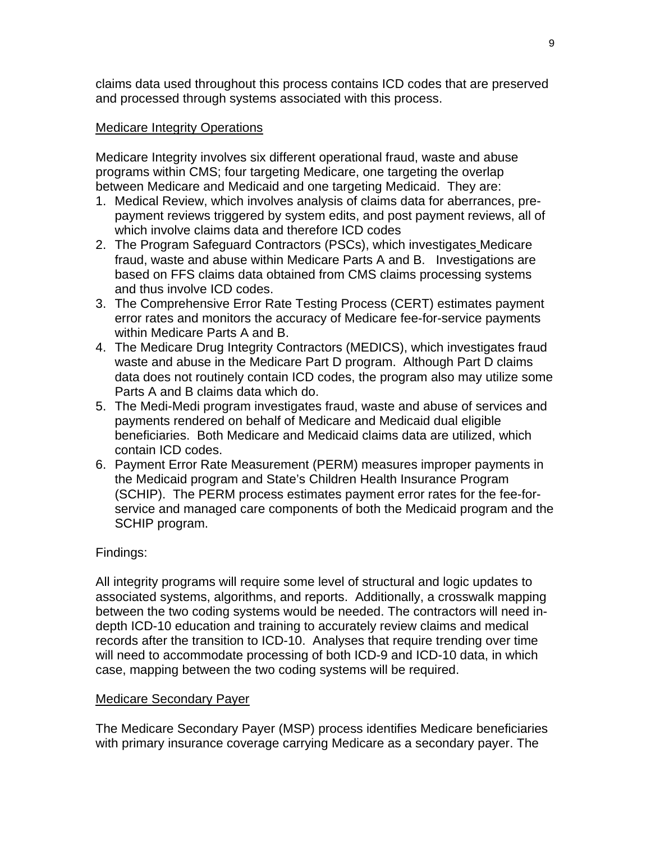claims data used throughout this process contains ICD codes that are preserved and processed through systems associated with this process.

#### Medicare Integrity Operations

Medicare Integrity involves six different operational fraud, waste and abuse programs within CMS; four targeting Medicare, one targeting the overlap between Medicare and Medicaid and one targeting Medicaid. They are:

- 1. Medical Review, which involves analysis of claims data for aberrances, prepayment reviews triggered by system edits, and post payment reviews, all of which involve claims data and therefore ICD codes
- 2. The Program Safeguard Contractors (PSCs), which investigates Medicare fraud, waste and abuse within Medicare Parts A and B. Investigations are based on FFS claims data obtained from CMS claims processing systems and thus involve ICD codes.
- 3. The Comprehensive Error Rate Testing Process (CERT) estimates payment error rates and monitors the accuracy of Medicare fee-for-service payments within Medicare Parts A and B.
- 4. The Medicare Drug Integrity Contractors (MEDICS), which investigates fraud waste and abuse in the Medicare Part D program. Although Part D claims data does not routinely contain ICD codes, the program also may utilize some Parts A and B claims data which do.
- 5. The Medi-Medi program investigates fraud, waste and abuse of services and payments rendered on behalf of Medicare and Medicaid dual eligible beneficiaries. Both Medicare and Medicaid claims data are utilized, which contain ICD codes.
- 6. Payment Error Rate Measurement (PERM) measures improper payments in the Medicaid program and State's Children Health Insurance Program (SCHIP). The PERM process estimates payment error rates for the fee-forservice and managed care components of both the Medicaid program and the SCHIP program.

## Findings:

All integrity programs will require some level of structural and logic updates to associated systems, algorithms, and reports. Additionally, a crosswalk mapping between the two coding systems would be needed. The contractors will need indepth ICD-10 education and training to accurately review claims and medical records after the transition to ICD-10. Analyses that require trending over time will need to accommodate processing of both ICD-9 and ICD-10 data, in which case, mapping between the two coding systems will be required.

#### Medicare Secondary Payer

The Medicare Secondary Payer (MSP) process identifies Medicare beneficiaries with primary insurance coverage carrying Medicare as a secondary payer. The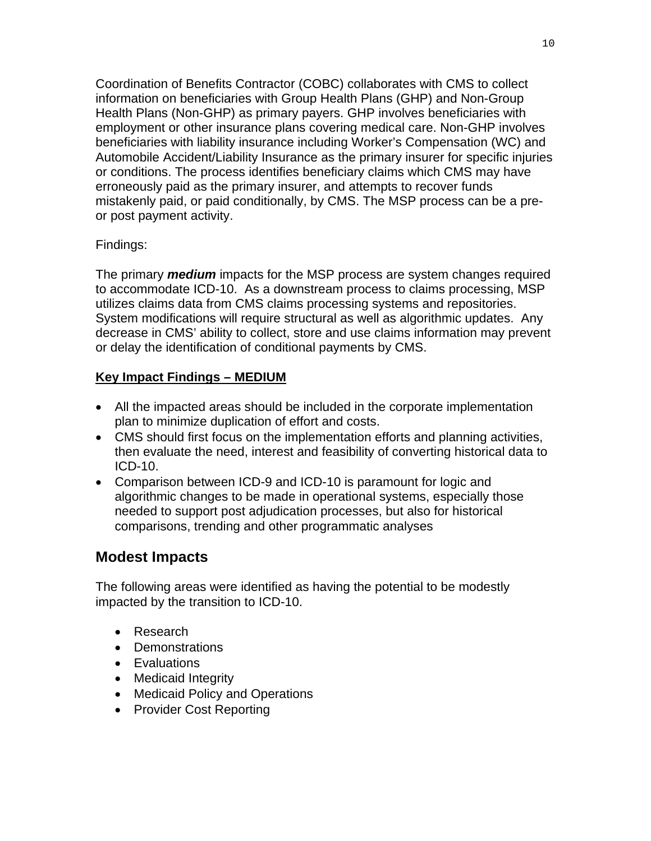Coordination of Benefits Contractor (COBC) collaborates with CMS to collect information on beneficiaries with Group Health Plans (GHP) and Non-Group Health Plans (Non-GHP) as primary payers. GHP involves beneficiaries with employment or other insurance plans covering medical care. Non-GHP involves beneficiaries with liability insurance including Worker's Compensation (WC) and Automobile Accident/Liability Insurance as the primary insurer for specific injuries or conditions. The process identifies beneficiary claims which CMS may have erroneously paid as the primary insurer, and attempts to recover funds mistakenly paid, or paid conditionally, by CMS. The MSP process can be a preor post payment activity.

### Findings:

The primary *medium* impacts for the MSP process are system changes required to accommodate ICD-10. As a downstream process to claims processing, MSP utilizes claims data from CMS claims processing systems and repositories. System modifications will require structural as well as algorithmic updates. Any decrease in CMS' ability to collect, store and use claims information may prevent or delay the identification of conditional payments by CMS.

### **Key Impact Findings – MEDIUM**

- All the impacted areas should be included in the corporate implementation plan to minimize duplication of effort and costs.
- CMS should first focus on the implementation efforts and planning activities, then evaluate the need, interest and feasibility of converting historical data to ICD-10.
- Comparison between ICD-9 and ICD-10 is paramount for logic and algorithmic changes to be made in operational systems, especially those needed to support post adjudication processes, but also for historical comparisons, trending and other programmatic analyses

# **Modest Impacts**

The following areas were identified as having the potential to be modestly impacted by the transition to ICD-10.

- Research
- Demonstrations
- Evaluations
- Medicaid Integrity
- Medicaid Policy and Operations
- Provider Cost Reporting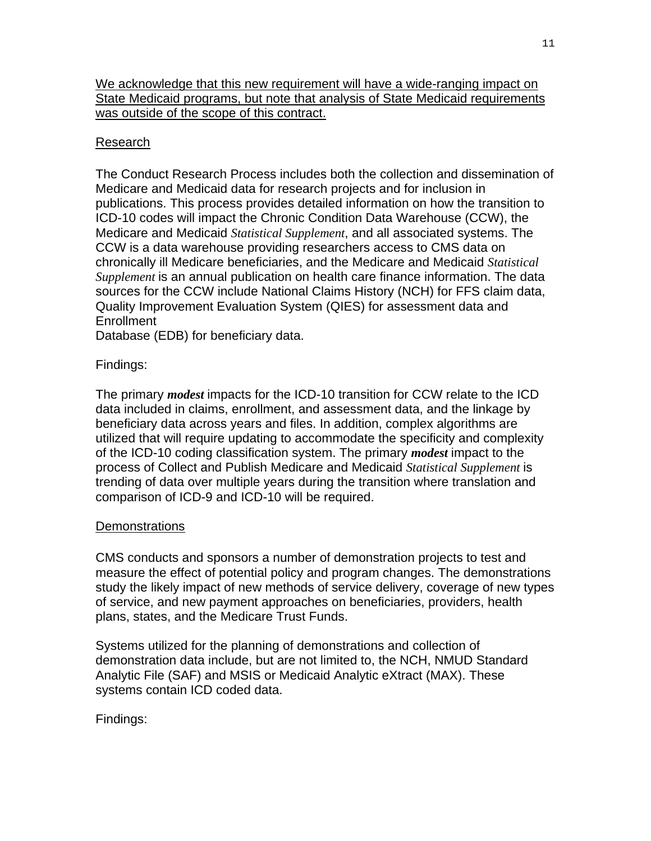We acknowledge that this new requirement will have a wide-ranging impact on State Medicaid programs, but note that analysis of State Medicaid requirements was outside of the scope of this contract.

## Research

The Conduct Research Process includes both the collection and dissemination of Medicare and Medicaid data for research projects and for inclusion in publications. This process provides detailed information on how the transition to ICD-10 codes will impact the Chronic Condition Data Warehouse (CCW), the Medicare and Medicaid *Statistical Supplement*, and all associated systems. The CCW is a data warehouse providing researchers access to CMS data on chronically ill Medicare beneficiaries, and the Medicare and Medicaid *Statistical Supplement* is an annual publication on health care finance information. The data sources for the CCW include National Claims History (NCH) for FFS claim data, Quality Improvement Evaluation System (QIES) for assessment data and **Enrollment** 

Database (EDB) for beneficiary data.

Findings:

The primary *modest* impacts for the ICD-10 transition for CCW relate to the ICD data included in claims, enrollment, and assessment data, and the linkage by beneficiary data across years and files. In addition, complex algorithms are utilized that will require updating to accommodate the specificity and complexity of the ICD-10 coding classification system. The primary *modest* impact to the process of Collect and Publish Medicare and Medicaid *Statistical Supplement* is trending of data over multiple years during the transition where translation and comparison of ICD-9 and ICD-10 will be required.

## **Demonstrations**

CMS conducts and sponsors a number of demonstration projects to test and measure the effect of potential policy and program changes. The demonstrations study the likely impact of new methods of service delivery, coverage of new types of service, and new payment approaches on beneficiaries, providers, health plans, states, and the Medicare Trust Funds.

Systems utilized for the planning of demonstrations and collection of demonstration data include, but are not limited to, the NCH, NMUD Standard Analytic File (SAF) and MSIS or Medicaid Analytic eXtract (MAX). These systems contain ICD coded data.

Findings: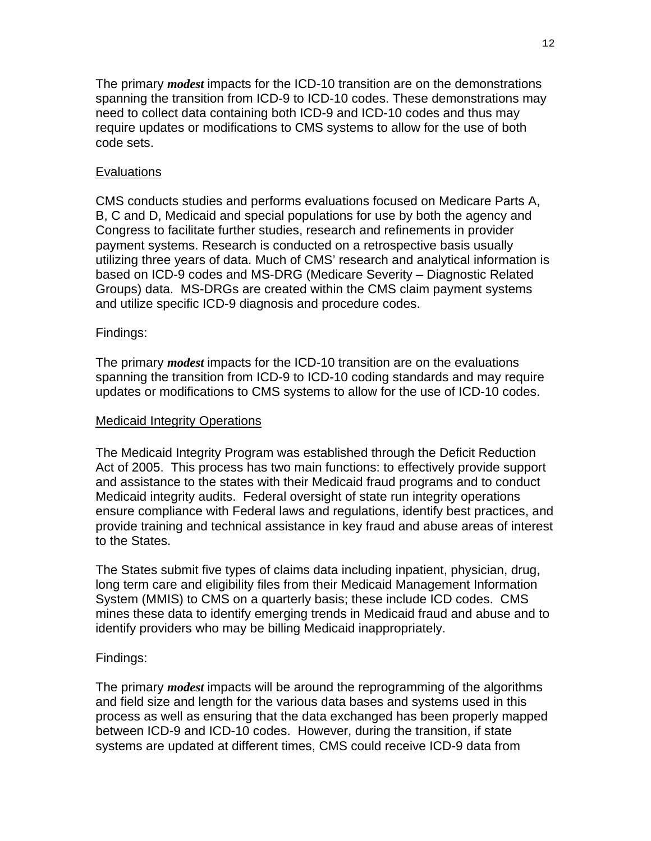The primary *modest* impacts for the ICD-10 transition are on the demonstrations spanning the transition from ICD-9 to ICD-10 codes. These demonstrations may need to collect data containing both ICD-9 and ICD-10 codes and thus may require updates or modifications to CMS systems to allow for the use of both code sets.

### Evaluations

CMS conducts studies and performs evaluations focused on Medicare Parts A, B, C and D, Medicaid and special populations for use by both the agency and Congress to facilitate further studies, research and refinements in provider payment systems. Research is conducted on a retrospective basis usually utilizing three years of data. Much of CMS' research and analytical information is based on ICD-9 codes and MS-DRG (Medicare Severity – Diagnostic Related Groups) data. MS-DRGs are created within the CMS claim payment systems and utilize specific ICD-9 diagnosis and procedure codes.

#### Findings:

The primary *modest* impacts for the ICD-10 transition are on the evaluations spanning the transition from ICD-9 to ICD-10 coding standards and may require updates or modifications to CMS systems to allow for the use of ICD-10 codes.

#### Medicaid Integrity Operations

The Medicaid Integrity Program was established through the Deficit Reduction Act of 2005. This process has two main functions: to effectively provide support and assistance to the states with their Medicaid fraud programs and to conduct Medicaid integrity audits. Federal oversight of state run integrity operations ensure compliance with Federal laws and regulations, identify best practices, and provide training and technical assistance in key fraud and abuse areas of interest to the States.

The States submit five types of claims data including inpatient, physician, drug, long term care and eligibility files from their Medicaid Management Information System (MMIS) to CMS on a quarterly basis; these include ICD codes. CMS mines these data to identify emerging trends in Medicaid fraud and abuse and to identify providers who may be billing Medicaid inappropriately.

#### Findings:

The primary *modest* impacts will be around the reprogramming of the algorithms and field size and length for the various data bases and systems used in this process as well as ensuring that the data exchanged has been properly mapped between ICD-9 and ICD-10 codes. However, during the transition, if state systems are updated at different times, CMS could receive ICD-9 data from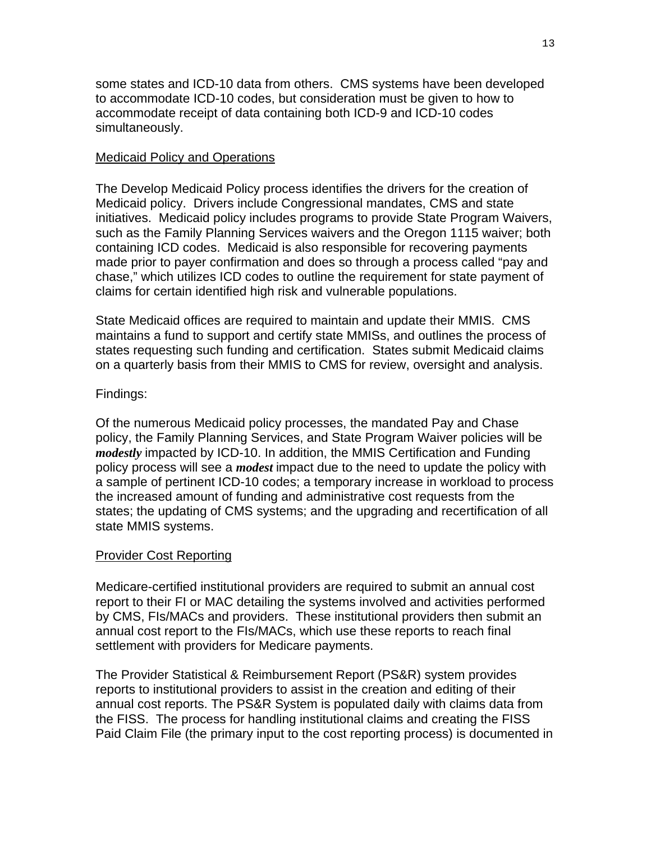some states and ICD-10 data from others. CMS systems have been developed to accommodate ICD-10 codes, but consideration must be given to how to accommodate receipt of data containing both ICD-9 and ICD-10 codes simultaneously.

#### Medicaid Policy and Operations

The Develop Medicaid Policy process identifies the drivers for the creation of Medicaid policy. Drivers include Congressional mandates, CMS and state initiatives. Medicaid policy includes programs to provide State Program Waivers, such as the Family Planning Services waivers and the Oregon 1115 waiver; both containing ICD codes. Medicaid is also responsible for recovering payments made prior to payer confirmation and does so through a process called "pay and chase," which utilizes ICD codes to outline the requirement for state payment of claims for certain identified high risk and vulnerable populations.

State Medicaid offices are required to maintain and update their MMIS. CMS maintains a fund to support and certify state MMISs, and outlines the process of states requesting such funding and certification. States submit Medicaid claims on a quarterly basis from their MMIS to CMS for review, oversight and analysis.

#### Findings:

Of the numerous Medicaid policy processes, the mandated Pay and Chase policy, the Family Planning Services, and State Program Waiver policies will be *modestly* impacted by ICD-10. In addition, the MMIS Certification and Funding policy process will see a *modest* impact due to the need to update the policy with a sample of pertinent ICD-10 codes; a temporary increase in workload to process the increased amount of funding and administrative cost requests from the states; the updating of CMS systems; and the upgrading and recertification of all state MMIS systems.

#### Provider Cost Reporting

Medicare-certified institutional providers are required to submit an annual cost report to their FI or MAC detailing the systems involved and activities performed by CMS, FIs/MACs and providers. These institutional providers then submit an annual cost report to the FIs/MACs, which use these reports to reach final settlement with providers for Medicare payments.

The Provider Statistical & Reimbursement Report (PS&R) system provides reports to institutional providers to assist in the creation and editing of their annual cost reports. The PS&R System is populated daily with claims data from the FISS. The process for handling institutional claims and creating the FISS Paid Claim File (the primary input to the cost reporting process) is documented in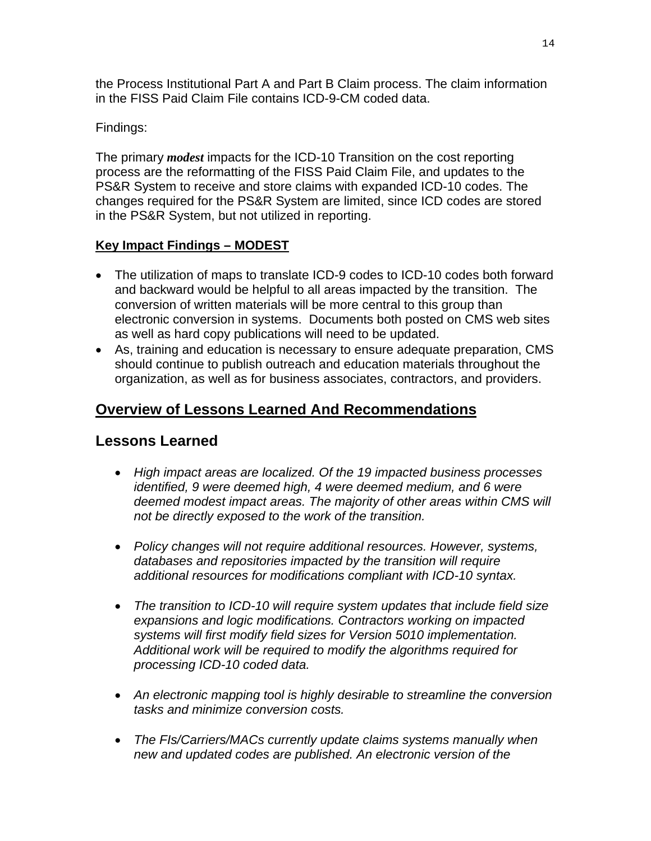the Process Institutional Part A and Part B Claim process. The claim information in the FISS Paid Claim File contains ICD-9-CM coded data.

Findings:

The primary *modest* impacts for the ICD-10 Transition on the cost reporting process are the reformatting of the FISS Paid Claim File, and updates to the PS&R System to receive and store claims with expanded ICD-10 codes. The changes required for the PS&R System are limited, since ICD codes are stored in the PS&R System, but not utilized in reporting.

## **Key Impact Findings – MODEST**

- The utilization of maps to translate ICD-9 codes to ICD-10 codes both forward and backward would be helpful to all areas impacted by the transition. The conversion of written materials will be more central to this group than electronic conversion in systems. Documents both posted on CMS web sites as well as hard copy publications will need to be updated.
- As, training and education is necessary to ensure adequate preparation, CMS should continue to publish outreach and education materials throughout the organization, as well as for business associates, contractors, and providers.

# **Overview of Lessons Learned And Recommendations**

# **Lessons Learned**

- *High impact areas are localized. Of the 19 impacted business processes identified, 9 were deemed high, 4 were deemed medium, and 6 were deemed modest impact areas. The majority of other areas within CMS will not be directly exposed to the work of the transition.*
- *Policy changes will not require additional resources. However, systems, databases and repositories impacted by the transition will require additional resources for modifications compliant with ICD-10 syntax.*
- *The transition to ICD-10 will require system updates that include field size expansions and logic modifications. Contractors working on impacted systems will first modify field sizes for Version 5010 implementation. Additional work will be required to modify the algorithms required for processing ICD-10 coded data.*
- *An electronic mapping tool is highly desirable to streamline the conversion tasks and minimize conversion costs.*
- *The FIs/Carriers/MACs currently update claims systems manually when new and updated codes are published. An electronic version of the*